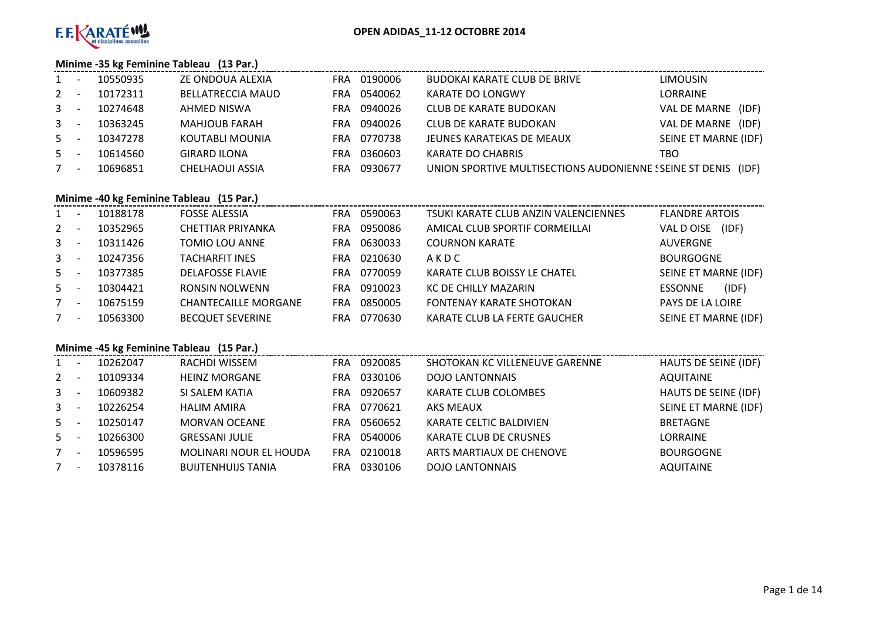

# **Minime -35 kg Feminine Tableau (13 Par.)**

| $1 \quad$    |     | 10550935 | ZE ONDOUA ALEXIA         | FRA | 0190006 | BUDOKAI KARATE CLUB DE BRIVE                            | <b>LIMOUSIN</b>       |
|--------------|-----|----------|--------------------------|-----|---------|---------------------------------------------------------|-----------------------|
| $2^{\circ}$  |     | 10172311 | <b>BELLATRECCIA MAUD</b> | FRA | 0540062 | KARATE DO LONGWY                                        | LORRAINE              |
| $\mathbf{3}$ |     | 10274648 | AHMED NISWA              | FRA | 0940026 | CLUB DE KARATE BUDOKAN                                  | VAL DE MARNE<br>(IDF) |
| $\mathbf{3}$ |     | 10363245 | <b>MAHJOUB FARAH</b>     | FRA | 0940026 | <b>CLUB DE KARATE BUDOKAN</b>                           | VAL DE MARNE<br>(IDF) |
| $5 -$        |     | 10347278 | KOUTABLI MOUNIA          | FRA | 0770738 | JEUNES KARATEKAS DE MEAUX                               | SEINE ET MARNE (IDF)  |
| $5 -$        |     | 10614560 | <b>GIRARD ILONA</b>      | FRA | 0360603 | <b>KARATE DO CHABRIS</b>                                | TBO                   |
| 7            | - - | 10696851 | <b>CHELHAOUI ASSIA</b>   | FRA | 0930677 | UNION SPORTIVE MULTISECTIONS AUDONIENNE (SEINE ST DENIS | (IDF)                 |

# **Minime -40 kg Feminine Tableau (15 Par.)**

| $1 \quad$    | 10188178 | <b>FOSSE ALESSIA</b>        | FRA        | 0590063 | TSUKI KARATE CLUB ANZIN VALENCIENNES | <b>FLANDRE ARTOIS</b>   |
|--------------|----------|-----------------------------|------------|---------|--------------------------------------|-------------------------|
| $\mathbf{2}$ | 10352965 | CHETTIAR PRIYANKA           | <b>FRA</b> | 0950086 | AMICAL CLUB SPORTIF CORMEILLAI       | (IDF)<br>VAL D OISE     |
| $\mathbf{3}$ | 10311426 | TOMIO LOU ANNE              | <b>FRA</b> | 0630033 | <b>COURNON KARATE</b>                | AUVERGNE                |
| $\mathbf{3}$ | 10247356 | <b>TACHARFIT INES</b>       | FRA        | 0210630 | AKDC                                 | <b>BOURGOGNE</b>        |
| $5 -$        | 10377385 | <b>DELAFOSSE FLAVIE</b>     | FRA.       | 0770059 | KARATE CLUB BOISSY LE CHATEL         | SEINE ET MARNE (IDF)    |
| $5 -$        | 10304421 | <b>RONSIN NOLWENN</b>       | FRA        | 0910023 | KC DE CHILLY MAZARIN                 | (IDF)<br><b>ESSONNE</b> |
| $7^{\circ}$  | 10675159 | <b>CHANTECAILLE MORGANE</b> | <b>FRA</b> | 0850005 | <b>FONTENAY KARATE SHOTOKAN</b>      | PAYS DE LA LOIRE        |
| $7^{\circ}$  | 10563300 | <b>BECQUET SEVERINE</b>     | <b>FRA</b> | 0770630 | KARATE CLUB LA FERTE GAUCHER         | SEINE ET MARNE (IDF)    |

# **Minime -45 kg Feminine Tableau (15 Par.)**

| $1 \quad$    | 10262047 | RACHDI WISSEM             | FRA        | 0920085 | SHOTOKAN KC VILLENEUVE GARENNE | <b>HAUTS DE SEINE (IDF)</b> |
|--------------|----------|---------------------------|------------|---------|--------------------------------|-----------------------------|
| $\mathbf{2}$ | 10109334 | <b>HEINZ MORGANE</b>      | FRA        | 0330106 | <b>DOJO LANTONNAIS</b>         | <b>AQUITAINE</b>            |
| $\mathbf{3}$ | 10609382 | SI SALEM KATIA            | FRA        | 0920657 | KARATE CLUB COLOMBES           | <b>HAUTS DE SEINE (IDF)</b> |
| $\mathbf{3}$ | 10226254 | <b>HALIM AMIRA</b>        | FRA        | 0770621 | <b>AKS MEAUX</b>               | SEINE ET MARNE (IDF)        |
| 5            | 10250147 | <b>MORVAN OCEANE</b>      | FRA        | 0560652 | KARATE CELTIC BALDIVIEN        | <b>BRETAGNE</b>             |
| $5 -$        | 10266300 | <b>GRESSANI JULIE</b>     | FRA        | 0540006 | KARATE CLUB DE CRUSNES         | <b>LORRAINE</b>             |
| $7^{\circ}$  | 10596595 | MOLINARI NOUR EL HOUDA    | FRA        | 0210018 | ARTS MARTIAUX DE CHENOVE       | <b>BOURGOGNE</b>            |
| 7            | 10378116 | <b>BUIJTENHUIJS TANIA</b> | <b>FRA</b> | 0330106 | <b>DOJO LANTONNAIS</b>         | <b>AQUITAINE</b>            |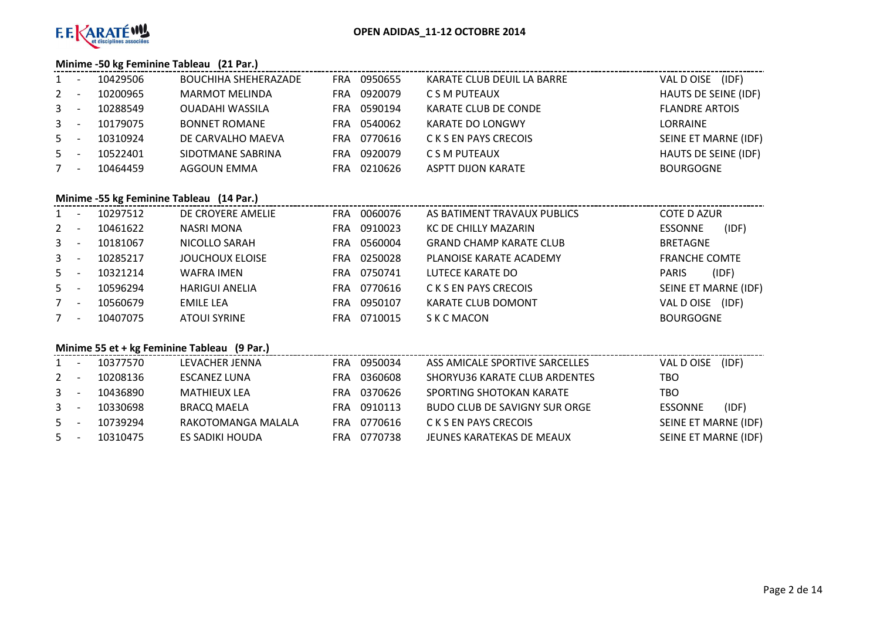

# **Minime -50 kg Feminine Tableau (21 Par.)**

| $1 -$        |                          | 10429506 | <b>BOUCHIHA SHEHERAZADE</b> | FRA. | 0950655 | KARATE CLUB DEUIL LA BARRE | (IDF)<br>VAL D OISE   |
|--------------|--------------------------|----------|-----------------------------|------|---------|----------------------------|-----------------------|
| $2^{\circ}$  |                          | 10200965 | <b>MARMOT MELINDA</b>       | FRA  | 0920079 | C S M PUTEAUX              | HAUTS DE SEINE (IDF)  |
| $\mathbf{3}$ |                          | 10288549 | OUADAHI WASSILA             | FRA  | 0590194 | KARATE CLUB DE CONDE       | <b>FLANDRE ARTOIS</b> |
| $3 -$        |                          | 10179075 | <b>BONNET ROMANE</b>        | FRA. | 0540062 | <b>KARATE DO LONGWY</b>    | LORRAINE              |
| $5 -$        |                          | 10310924 | DE CARVALHO MAEVA           | FRA  | 0770616 | C K S EN PAYS CRECOIS      | SEINE ET MARNE (IDF)  |
| $5 -$        |                          | 10522401 | SIDOTMANE SABRINA           | FRA. | 0920079 | C S M PUTEAUX              | HAUTS DE SEINE (IDF)  |
| 7            | $\overline{\phantom{a}}$ | 10464459 | AGGOUN EMMA                 | FRA  | 0210626 | ASPTT DIJON KARATE         | <b>BOURGOGNE</b>      |

# **Minime -55 kg Feminine Tableau (14 Par.)**

| 1              |                          | 10297512 | DE CROYERE AMELIE     | <b>FRA</b> | 0060076 | AS BATIMENT TRAVAUX PUBLICS    | <b>COTE D AZUR</b>   |                      |
|----------------|--------------------------|----------|-----------------------|------------|---------|--------------------------------|----------------------|----------------------|
| $2^{\circ}$    | $\overline{\phantom{a}}$ | 10461622 | NASRI MONA            | FRA        | 0910023 | KC DE CHILLY MAZARIN           | <b>ESSONNE</b>       | (IDF)                |
| 3 <sup>1</sup> |                          | 10181067 | NICOLLO SARAH         | <b>FRA</b> | 0560004 | <b>GRAND CHAMP KARATE CLUB</b> | <b>BRETAGNE</b>      |                      |
| 3 <sup>1</sup> |                          | 10285217 | JOUCHOUX ELOISE       | <b>FRA</b> | 0250028 | PLANOISE KARATE ACADEMY        | <b>FRANCHE COMTE</b> |                      |
| $5 -$          |                          | 10321214 | WAFRA IMEN            | FRA.       | 0750741 | LUTECE KARATE DO               | <b>PARIS</b>         | (IDF)                |
| $5 -$          |                          | 10596294 | <b>HARIGUI ANELIA</b> | <b>FRA</b> | 0770616 | C K S EN PAYS CRECOIS          |                      | SEINE ET MARNE (IDF) |
| $7^{\circ}$    |                          | 10560679 | EMILE LEA             | <b>FRA</b> | 0950107 | KARATE CLUB DOMONT             | VAL D OISE           | (IDF)                |
| 7              |                          | 10407075 | <b>ATOUI SYRINE</b>   | <b>FRA</b> | 0710015 | S K C MACON                    | <b>BOURGOGNE</b>     |                      |

# **Minime 55 et + kg Feminine Tableau (9 Par.)**

|   | 10377570 | LEVACHER JENNA      | FRA | 0950034 | ASS AMICALE SPORTIVE SARCELLES       | VAL D OISE           | (IDF) |
|---|----------|---------------------|-----|---------|--------------------------------------|----------------------|-------|
| 2 | 10208136 | ESCANEZ LUNA        | FRA | 0360608 | SHORYU36 KARATE CLUB ARDENTES        | TBO                  |       |
| 3 | 10436890 | <b>MATHIEUX LEA</b> | FRA | 0370626 | SPORTING SHOTOKAN KARATE             | TBO                  |       |
| 3 | 10330698 | <b>BRACQ MAELA</b>  | FRA | 0910113 | <b>BUDO CLUB DE SAVIGNY SUR ORGE</b> | <b>ESSONNE</b>       | (IDF) |
| 5 | 10739294 | RAKOTOMANGA MALALA  | FRA | 0770616 | C K S EN PAYS CRECOIS                | SEINE ET MARNE (IDF) |       |
| 5 | 10310475 | ES SADIKI HOUDA     | FRA | 0770738 | JEUNES KARATEKAS DE MEAUX            | SEINE ET MARNE (IDF) |       |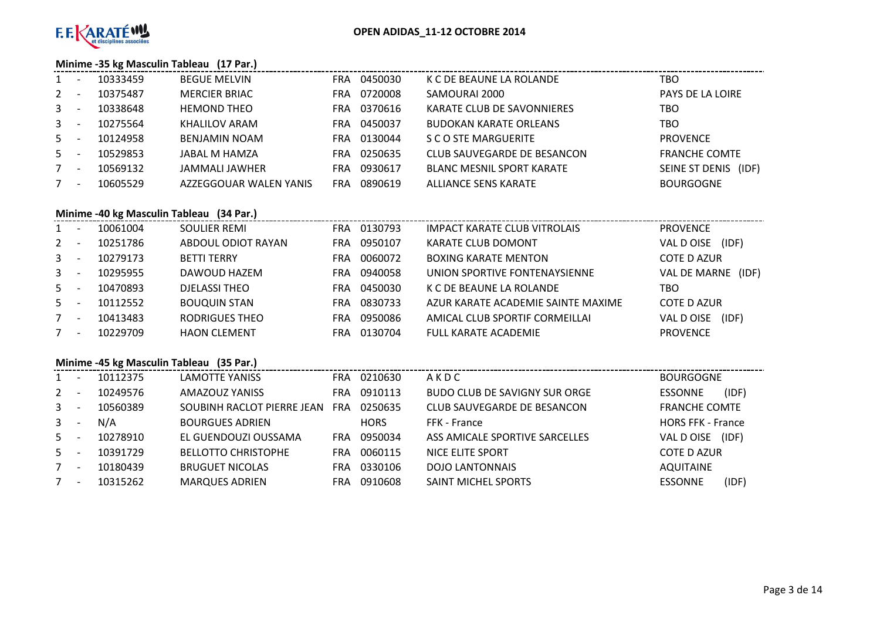

#### **Minime -35 kg Masculin Tableau (17 Par.)**

| <b>MERCIER BRIAC</b><br>0720008<br>$2^{\circ}$<br>SAMOURAI 2000<br>10375487<br><b>PAYS DE LA LOIRE</b><br>FRA<br>$\overline{\phantom{a}}$             |  |
|-------------------------------------------------------------------------------------------------------------------------------------------------------|--|
|                                                                                                                                                       |  |
| $3 - 5$<br>0370616<br>10338648<br><b>HEMOND THEO</b><br><b>TBO</b><br>KARATE CLUB DE SAVONNIERES<br>FRA.                                              |  |
| $3 - 5$<br>KHALILOV ARAM<br>0450037<br><b>BUDOKAN KARATE ORLEANS</b><br>TBO<br>10275564<br>FRA                                                        |  |
| $5 -$<br>0130044<br>10124958<br>S C O STE MARGUERITE<br><b>PROVENCE</b><br><b>BENJAMIN NOAM</b><br>FRA                                                |  |
| $5 -$<br>10529853<br>JABAL M HAMZA<br>0250635<br><b>FRANCHE COMTE</b><br>CLUB SAUVEGARDE DE BESANCON<br>FRA                                           |  |
| 0930617<br>SEINE ST DENIS (IDF)<br>7<br>10569132<br><b>BLANC MESNIL SPORT KARATE</b><br>JAMMALI JAWHER<br>FRA<br>$\overline{\phantom{a}}$             |  |
| 0890619<br>10605529<br>ALLIANCE SENS KARATE<br><b>BOURGOGNE</b><br>7 <sup>7</sup><br>AZZEGGOUAR WALEN YANIS<br><b>FRA</b><br>$\overline{\phantom{a}}$ |  |

# **Minime -40 kg Masculin Tableau (34 Par.)**

| $\mathbf{1}$ |                          | 10061004 | SOULIER REMI        |            | FRA 0130793 | <b>IMPACT KARATE CLUB VITROLAIS</b> | <b>PROVENCE</b>              |
|--------------|--------------------------|----------|---------------------|------------|-------------|-------------------------------------|------------------------------|
| $2^{\circ}$  |                          | 10251786 | ABDOUL ODIOT RAYAN  | FRA        | 0950107     | <b>KARATE CLUB DOMONT</b>           | (IDF)<br>VAL D OISE          |
| $\mathbf{3}$ |                          | 10279173 | <b>BETTI TERRY</b>  | FRA        | 0060072     | <b>BOXING KARATE MENTON</b>         | <b>COTE D AZUR</b>           |
| $\mathbf{3}$ |                          | 10295955 | DAWOUD HAZEM        | <b>FRA</b> | 0940058     | UNION SPORTIVE FONTENAYSIENNE       | <b>VAL DE MARNE</b><br>(IDF) |
| $5 -$        |                          | 10470893 | DJELASSI THEO       | FRA.       | 0450030     | K C DE BEAUNE LA ROLANDE            | TBO                          |
| $5 -$        |                          | 10112552 | <b>BOUQUIN STAN</b> | FRA.       | 0830733     | AZUR KARATE ACADEMIE SAINTE MAXIME  | <b>COTE D AZUR</b>           |
| $7^{\circ}$  | $\sim$                   | 10413483 | RODRIGUES THEO      | FRA        | 0950086     | AMICAL CLUB SPORTIF CORMEILLAI      | VAL D OISE<br>(IDF)          |
| $7^{\circ}$  | $\overline{\phantom{a}}$ | 10229709 | <b>HAON CLEMENT</b> | FRA        | 0130704     | <b>FULL KARATE ACADEMIE</b>         | <b>PROVENCE</b>              |

# **Minime -45 kg Masculin Tableau (35 Par.)**

| $1 \quad$    | 10112375 | LAMOTTE YANISS             | FRA        | 0210630     | AKDC                           | <b>BOURGOGNE</b>         |
|--------------|----------|----------------------------|------------|-------------|--------------------------------|--------------------------|
| $\mathbf{2}$ | 10249576 | AMAZOUZ YANISS             | FRA        | 0910113     | BUDO CLUB DE SAVIGNY SUR ORGE  | (IDF)<br><b>ESSONNE</b>  |
| $\mathbf{3}$ | 10560389 | SOUBINH RACLOT PIERRE JEAN | <b>FRA</b> | 0250635     | CLUB SAUVEGARDE DE BESANCON    | <b>FRANCHE COMTE</b>     |
| 3            | N/A      | <b>BOURGUES ADRIEN</b>     |            | <b>HORS</b> | FFK - France                   | <b>HORS FFK - France</b> |
| $5 -$        | 10278910 | EL GUENDOUZI OUSSAMA       | FRA        | 0950034     | ASS AMICALE SPORTIVE SARCELLES | VAL D OISE<br>(IDF)      |
| $5 -$        | 10391729 | <b>BELLOTTO CHRISTOPHE</b> | FRA        | 0060115     | NICE ELITE SPORT               | <b>COTE D AZUR</b>       |
| $7^{\circ}$  | 10180439 | <b>BRUGUET NICOLAS</b>     | FRA        | 0330106     | <b>DOJO LANTONNAIS</b>         | <b>AQUITAINE</b>         |
| 7            | 10315262 | <b>MARQUES ADRIEN</b>      | FRA        | 0910608     | SAINT MICHEL SPORTS            | (IDF)<br><b>ESSONNE</b>  |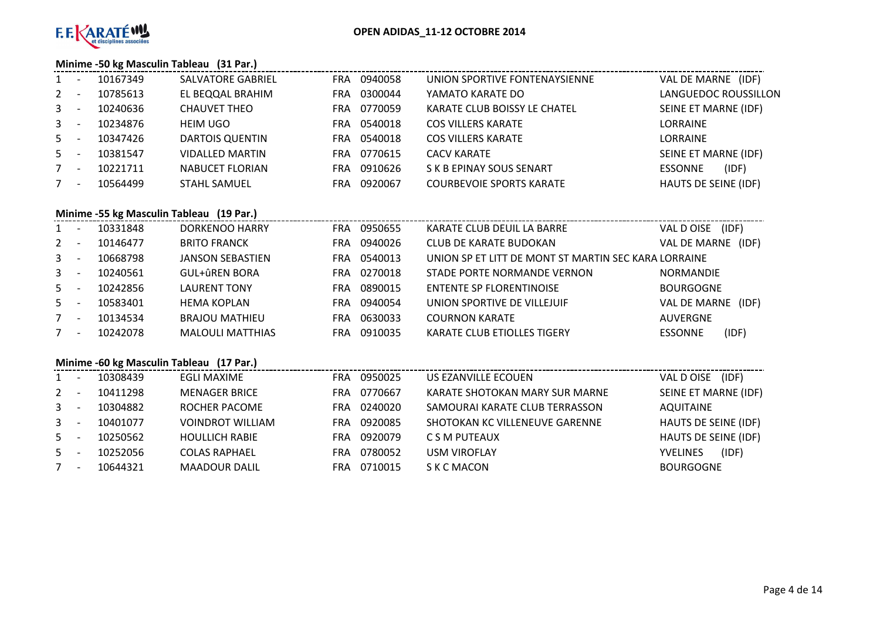

# **Minime -50 kg Masculin Tableau (31 Par.)**

|         | <b>INIIIIIIIIIIII -SU Kg IVIASCUIIII TADIEAU</b> (31 PAR.) |                          |                       |                                 |                         |  |  |  |  |  |  |  |  |
|---------|------------------------------------------------------------|--------------------------|-----------------------|---------------------------------|-------------------------|--|--|--|--|--|--|--|--|
| $1 -$   | 10167349                                                   | <b>SALVATORE GABRIEL</b> | FRA 0940058           | UNION SPORTIVE FONTENAYSIENNE   | VAL DE MARNE (IDF)      |  |  |  |  |  |  |  |  |
| $2 -$   | 10785613                                                   | EL BEQQAL BRAHIM         | 0300044<br><b>FRA</b> | YAMATO KARATE DO                | LANGUEDOC ROUSSILLON    |  |  |  |  |  |  |  |  |
| $3 - 5$ | 10240636                                                   | CHAUVET THEO             | 0770059<br>FRA        | KARATE CLUB BOISSY LE CHATEL    | SEINE ET MARNE (IDF)    |  |  |  |  |  |  |  |  |
| $3 - 5$ | 10234876                                                   | <b>HEIM UGO</b>          | 0540018<br><b>FRA</b> | <b>COS VILLERS KARATE</b>       | LORRAINE                |  |  |  |  |  |  |  |  |
| $5 -$   | 10347426                                                   | DARTOIS QUENTIN          | 0540018<br><b>FRA</b> | <b>COS VILLERS KARATE</b>       | LORRAINE                |  |  |  |  |  |  |  |  |
| $5 -$   | 10381547                                                   | <b>VIDALLED MARTIN</b>   | 0770615<br>FRA.       | <b>CACV KARATE</b>              | SEINE ET MARNE (IDF)    |  |  |  |  |  |  |  |  |
| $7 -$   | 10221711                                                   | NABUCET FLORIAN          | 0910626<br>FRA.       | S K B EPINAY SOUS SENART        | (IDF)<br><b>ESSONNE</b> |  |  |  |  |  |  |  |  |
| $7 -$   | 10564499                                                   | <b>STAHL SAMUEL</b>      | 0920067<br>FRA        | <b>COURBEVOIE SPORTS KARATE</b> | HAUTS DE SEINE (IDF)    |  |  |  |  |  |  |  |  |
|         |                                                            |                          |                       |                                 |                         |  |  |  |  |  |  |  |  |

# **Minime -55 kg Masculin Tableau (19 Par.)**

| 1              | ۰                        | 10331848 | DORKENOO HARRY          | FRA.       | 0950655 | KARATE CLUB DEUIL LA BARRE                           | (IDF)<br>VAL DOISE |       |
|----------------|--------------------------|----------|-------------------------|------------|---------|------------------------------------------------------|--------------------|-------|
| $\mathbf{2}$   |                          | 10146477 | <b>BRITO FRANCK</b>     | <b>FRA</b> | 0940026 | <b>CLUB DE KARATE BUDOKAN</b>                        | VAL DE MARNE       | (IDF) |
| $\mathbf{3}$   | $\overline{\phantom{a}}$ | 10668798 | <b>JANSON SEBASTIEN</b> | FRA.       | 0540013 | UNION SP ET LITT DE MONT ST MARTIN SEC KARA LORRAINE |                    |       |
| 3 <sup>1</sup> | $\overline{\phantom{a}}$ | 10240561 | <b>GUL+ûREN BORA</b>    | FRA.       | 0270018 | STADE PORTE NORMANDE VERNON                          | <b>NORMANDIE</b>   |       |
| $5 -$          | $\overline{\phantom{a}}$ | 10242856 | <b>LAURENT TONY</b>     | FRA.       | 0890015 | <b>ENTENTE SP FLORENTINOISE</b>                      | <b>BOURGOGNE</b>   |       |
| $5 -$          |                          | 10583401 | <b>HEMA KOPLAN</b>      | FRA.       | 0940054 | UNION SPORTIVE DE VILLEJUIF                          | VAL DE MARNE       | (IDF) |
| 7              | $\overline{\phantom{a}}$ | 10134534 | <b>BRAJOU MATHIEU</b>   | FRA.       | 0630033 | <b>COURNON KARATE</b>                                | <b>AUVERGNE</b>    |       |
| $7^{\circ}$    | $\overline{\phantom{a}}$ | 10242078 | <b>MALOULI MATTHIAS</b> | FRA        | 0910035 | <b>KARATE CLUB ETIOLLES TIGERY</b>                   | <b>ESSONNE</b>     | (IDF) |

# **Minime -60 kg Masculin Tableau (17 Par.)**

| $1 \quad$    | 10308439 | <b>EGLI MAXIME</b>      | FRA        | 0950025 | US EZANVILLE ECOUEN            | (IDF)<br>VAL D OISE      |
|--------------|----------|-------------------------|------------|---------|--------------------------------|--------------------------|
| $\mathbf{2}$ | 10411298 | <b>MENAGER BRICE</b>    | <b>FRA</b> | 0770667 | KARATE SHOTOKAN MARY SUR MARNE | SEINE ET MARNE (IDF)     |
| $\mathbf{3}$ | 10304882 | ROCHER PACOME           | FRA.       | 0240020 | SAMOURAI KARATE CLUB TERRASSON | AQUITAINE                |
| $\mathbf{3}$ | 10401077 | <b>VOINDROT WILLIAM</b> | FRA        | 0920085 | SHOTOKAN KC VILLENEUVE GARENNE | HAUTS DE SEINE (IDF)     |
| 5            | 10250562 | <b>HOULLICH RABIE</b>   | FRA.       | 0920079 | C S M PUTEAUX                  | HAUTS DE SEINE (IDF)     |
| 5            | 10252056 | <b>COLAS RAPHAEL</b>    | FRA        | 0780052 | <b>USM VIROFLAY</b>            | (IDF)<br><b>YVELINES</b> |
| $7^{\circ}$  | 10644321 | <b>MAADOUR DALIL</b>    | FRA.       | 0710015 | S K C MACON                    | <b>BOURGOGNE</b>         |
|              |          |                         |            |         |                                |                          |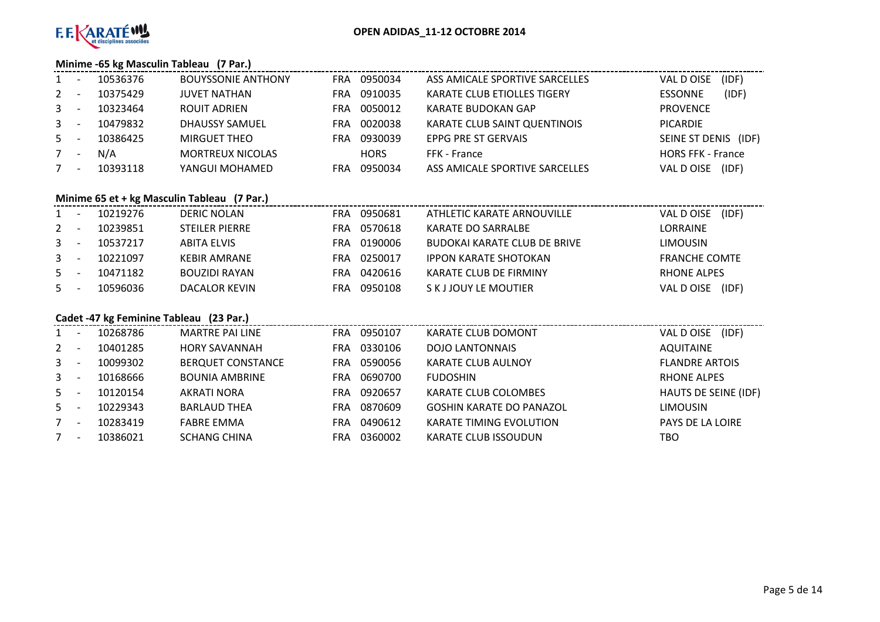

# **Minime -65 kg Masculin Tableau (7 Par.)**

| 1            | 10536376 | <b>BOUYSSONIE ANTHONY</b> | FRA | 0950034     | ASS AMICALE SPORTIVE SARCELLES     | (IDF)<br>VAL DOISE       |
|--------------|----------|---------------------------|-----|-------------|------------------------------------|--------------------------|
| $2 -$        | 10375429 | <b>JUVET NATHAN</b>       | FRA | 0910035     | <b>KARATE CLUB ETIOLLES TIGERY</b> | (IDF)<br><b>ESSONNE</b>  |
| $3 -$        | 10323464 | ROUIT ADRIEN              | FRA | 0050012     | KARATE BUDOKAN GAP                 | <b>PROVENCE</b>          |
| $\mathbf{3}$ | 10479832 | DHAUSSY SAMUEL            | FRA | 0020038     | KARATE CLUB SAINT QUENTINOIS       | <b>PICARDIE</b>          |
| $5 -$        | 10386425 | <b>MIRGUET THEO</b>       | FRA | 0930039     | EPPG PRE ST GERVAIS                | SEINE ST DENIS<br>(IDF)  |
| $7^{\circ}$  | N/A      | <b>MORTREUX NICOLAS</b>   |     | <b>HORS</b> | FFK - France                       | <b>HORS FFK - France</b> |
|              | 10393118 | YANGUI MOHAMED            | FRA | 0950034     | ASS AMICALE SPORTIVE SARCELLES     | (IDF)<br>VAL D OISE      |

# **Minime 65 et + kg Masculin Tableau (7 Par.)**

| $\mathbf{1}$ | 10219276 | <b>DERIC NOLAN</b>    | FRA | 0950681 | ATHLETIC KARATE ARNOUVILLE   | (IDF)<br>VAL DOISE   |
|--------------|----------|-----------------------|-----|---------|------------------------------|----------------------|
| $2 -$        | 10239851 | <b>STEILER PIERRE</b> | FRA | 0570618 | KARATE DO SARRALBE           | LORRAINE             |
| $3 -$        | 10537217 | ABITA ELVIS           | FRA | 0190006 | BUDOKAI KARATE CLUB DE BRIVE | <b>LIMOUSIN</b>      |
| $3 -$        | 10221097 | <b>KEBIR AMRANE</b>   | FRA | 0250017 | <b>IPPON KARATE SHOTOKAN</b> | <b>FRANCHE COMTE</b> |
| 5            | 10471182 | <b>BOUZIDI RAYAN</b>  | FRA | 0420616 | KARATE CLUB DE FIRMINY       | RHONE ALPES          |
| 5            | 10596036 | DACALOR KEVIN         | FRA | 0950108 | S K J JOUY LE MOUTIER        | (IDF)<br>VAL D OISE  |

# **Cadet -47 kg Feminine Tableau (23 Par.)**

| $\mathbf{1}$                            | 10268786 | <b>MARTRE PAI LINE</b>   | 0950107<br>FRA. | KARATE CLUB DOMONT              | (IDF)<br>VAL DOISE      |
|-----------------------------------------|----------|--------------------------|-----------------|---------------------------------|-------------------------|
| $2^{\circ}$                             | 10401285 | <b>HORY SAVANNAH</b>     | 0330106<br>FRA. | <b>DOJO LANTONNAIS</b>          | <b>AQUITAINE</b>        |
| $3^{\circ}$                             | 10099302 | <b>BERQUET CONSTANCE</b> | 0590056<br>FRA  | <b>KARATE CLUB AULNOY</b>       | <b>FLANDRE ARTOIS</b>   |
| $3^{\circ}$<br>$\overline{\phantom{a}}$ | 10168666 | <b>BOUNIA AMBRINE</b>    | 0690700<br>FRA. | <b>FUDOSHIN</b>                 | <b>RHONE ALPES</b>      |
| $5 -$                                   | 10120154 | AKRATI NORA              | 0920657<br>FRA  | KARATE CLUB COLOMBES            | HAUTS DE SEINE (IDF)    |
| $5 -$                                   | 10229343 | <b>BARLAUD THEA</b>      | 0870609<br>FRA  | <b>GOSHIN KARATE DO PANAZOL</b> | <b>LIMOUSIN</b>         |
| $\overline{\phantom{a}}$                | 10283419 | <b>FABRE EMMA</b>        | 0490612<br>FRA  | <b>KARATE TIMING EVOLUTION</b>  | <b>PAYS DE LA LOIRE</b> |
| 7                                       | 10386021 | <b>SCHANG CHINA</b>      | 0360002<br>FRA  | <b>KARATE CLUB ISSOUDUN</b>     | тво                     |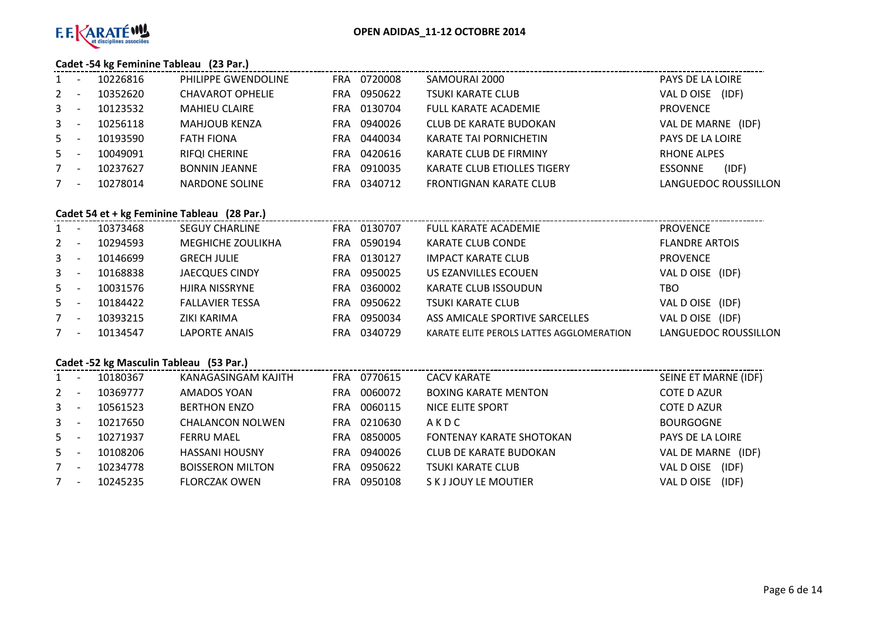

# **Cadet -54 kg Feminine Tableau (23 Par.)**

| $1 -$          |                          | 10226816 | <b>PHILIPPE GWENDOLINE</b> |      | FRA 0720008 | SAMOURAI 2000                      | PAYS DE LA LOIRE            |
|----------------|--------------------------|----------|----------------------------|------|-------------|------------------------------------|-----------------------------|
| $2 -$          |                          | 10352620 | <b>CHAVAROT OPHELIE</b>    | FRA  | 0950622     | <b>TSUKI KARATE CLUB</b>           | (IDF)<br>VAL D OISE         |
| 3 <sup>7</sup> | $\overline{\phantom{a}}$ | 10123532 | <b>MAHIEU CLAIRE</b>       |      | FRA 0130704 | <b>FULL KARATE ACADEMIE</b>        | <b>PROVENCE</b>             |
| $3 -$          |                          | 10256118 | <b>MAHJOUB KENZA</b>       | FRA. | 0940026     | <b>CLUB DE KARATE BUDOKAN</b>      | VAL DE MARNE<br>(IDF)       |
| $5 -$          |                          | 10193590 | <b>FATH FIONA</b>          |      | FRA 0440034 | <b>KARATE TAI PORNICHETIN</b>      | PAYS DE LA LOIRE            |
| $5 -$          |                          | 10049091 | <b>RIFQI CHERINE</b>       |      | FRA 0420616 | KARATE CLUB DE FIRMINY             | <b>RHONE ALPES</b>          |
|                | $\overline{\phantom{a}}$ | 10237627 | <b>BONNIN JEANNE</b>       |      | FRA 0910035 | <b>KARATE CLUB ETIOLLES TIGERY</b> | <b>ESSONNE</b><br>(IDF)     |
| 7              | $\overline{\phantom{a}}$ | 10278014 | NARDONE SOLINE             | FRA  | 0340712     | <b>FRONTIGNAN KARATE CLUB</b>      | <b>LANGUEDOC ROUSSILLON</b> |
|                |                          |          |                            |      |             |                                    |                             |

# **Cadet 54 et + kg Feminine Tableau (28 Par.)**

| $1 -$   | 10373468 | <b>SEGUY CHARLINE</b>  |      | FRA 0130707 | <b>FULL KARATE ACADEMIE</b>              | <b>PROVENCE</b>       |
|---------|----------|------------------------|------|-------------|------------------------------------------|-----------------------|
| $2 -$   | 10294593 | MEGHICHE ZOULIKHA      | FRA  | 0590194     | <b>KARATE CLUB CONDE</b>                 | <b>FLANDRE ARTOIS</b> |
| $3 - 5$ | 10146699 | <b>GRECH JULIE</b>     | FRA. | 0130127     | <b>IMPACT KARATE CLUB</b>                | <b>PROVENCE</b>       |
| $3 - 5$ | 10168838 | <b>JAECQUES CINDY</b>  | FRA. | 0950025     | US EZANVILLES ECOUEN                     | VAL D OISE (IDF)      |
| $5 -$   | 10031576 | HJIRA NISSRYNE         | FRA. | 0360002     | KARATE CLUB ISSOUDUN                     | TBO                   |
| $5 -$   | 10184422 | <b>FALLAVIER TESSA</b> | FRA. | 0950622     | <b>TSUKI KARATE CLUB</b>                 | VAL D OISE (IDF)      |
| $7 -$   | 10393215 | ZIKI KARIMA            | FRA  | 0950034     | ASS AMICALE SPORTIVE SARCELLES           | VAL D OISE (IDF)      |
| $7 -$   | 10134547 | <b>LAPORTE ANAIS</b>   | FRA  | 0340729     | KARATE ELITE PEROLS LATTES AGGLOMERATION | LANGUEDOC ROUSSILLON  |
|         |          |                        |      |             |                                          |                       |

# **Cadet -52 kg Masculin Tableau (53 Par.)**

| $1 \quad$    |                          | 10180367 | KANAGASINGAM KAJITH     | FRA.       | 0770615 | <b>CACV KARATE</b>          | SEINE ET MARNE (IDF)       |
|--------------|--------------------------|----------|-------------------------|------------|---------|-----------------------------|----------------------------|
| $2^{\circ}$  |                          | 10369777 | AMADOS YOAN             | <b>FRA</b> | 0060072 | <b>BOXING KARATE MENTON</b> | <b>COTE D AZUR</b>         |
| $\mathbf{3}$ |                          | 10561523 | <b>BERTHON ENZO</b>     | <b>FRA</b> | 0060115 | NICE ELITE SPORT            | <b>COTE D AZUR</b>         |
| $\mathbf{3}$ |                          | 10217650 | <b>CHALANCON NOLWEN</b> | <b>FRA</b> | 0210630 | AKDC                        | <b>BOURGOGNE</b>           |
| $5 -$        |                          | 10271937 | FERRU MAEL              | FRA        | 0850005 | FONTENAY KARATE SHOTOKAN    | <b>PAYS DE LA LOIRE</b>    |
| $5 -$        |                          | 10108206 | <b>HASSANI HOUSNY</b>   | <b>FRA</b> | 0940026 | CLUB DE KARATE BUDOKAN      | VAL DE MARNE<br>(IDF)      |
| $7^{\circ}$  | $\overline{\phantom{a}}$ | 10234778 | <b>BOISSERON MILTON</b> | <b>FRA</b> | 0950622 | TSUKI KARATE CLUB           | (IDF)<br><b>VAL D OISE</b> |
| 7            |                          | 10245235 | <b>FLORCZAK OWEN</b>    | FRA        | 0950108 | S K J JOUY LE MOUTIER       | (IDF)<br>VAL DOISE         |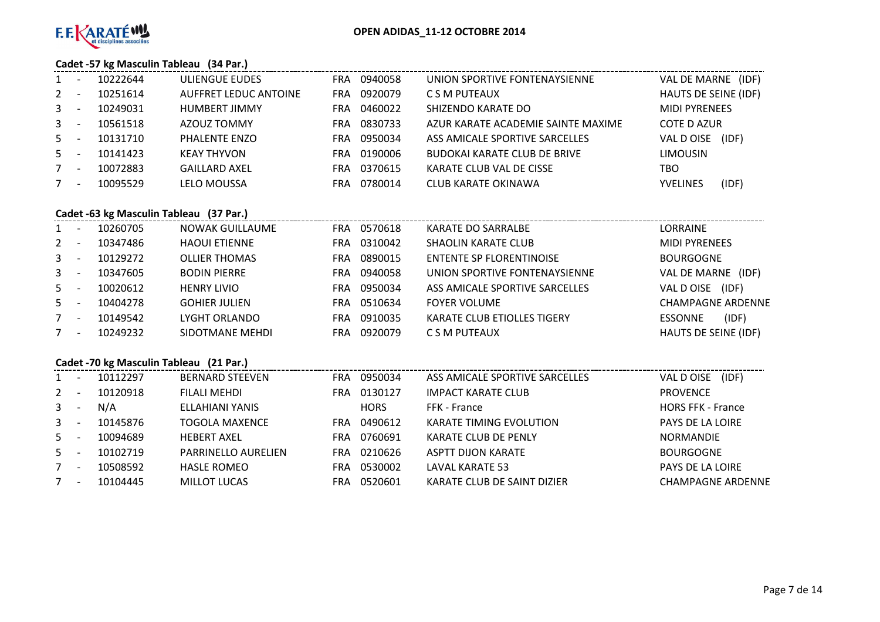

# **Cadet -57 kg Masculin Tableau (34 Par.)**

| $\mathbf{1}$ |                          | 10222644 | ULIENGUE EUDES               | FRA | 0940058 | UNION SPORTIVE FONTENAYSIENNE       | VAL DE MARNE (IDF)   |       |
|--------------|--------------------------|----------|------------------------------|-----|---------|-------------------------------------|----------------------|-------|
| $2 -$        |                          | 10251614 | <b>AUFFRET LEDUC ANTOINE</b> | FRA | 0920079 | C S M PUTEAUX                       | HAUTS DE SEINE (IDF) |       |
| $\mathbf{3}$ |                          | 10249031 | <b>HUMBERT JIMMY</b>         | FRA | 0460022 | SHIZENDO KARATE DO                  | <b>MIDI PYRENEES</b> |       |
| $\mathbf{3}$ |                          | 10561518 | AZOUZ TOMMY                  | FRA | 0830733 | AZUR KARATE ACADEMIE SAINTE MAXIME  | COTE D AZUR          |       |
| $5 -$        |                          | 10131710 | <b>PHALENTE ENZO</b>         | FRA | 0950034 | ASS AMICALE SPORTIVE SARCELLES      | VAL DOISE            | (IDF) |
| $5 -$        |                          | 10141423 | <b>KEAY THYVON</b>           | FRA | 0190006 | <b>BUDOKAI KARATE CLUB DE BRIVE</b> | <b>LIMOUSIN</b>      |       |
| $7^{\circ}$  | <b>.</b>                 | 10072883 | <b>GAILLARD AXEL</b>         | FRA | 0370615 | KARATE CLUB VAL DE CISSE            | TBO                  |       |
| $7^{\circ}$  | $\overline{\phantom{a}}$ | 10095529 | <b>LELO MOUSSA</b>           | FRA | 0780014 | CLUB KARATE OKINAWA                 | <b>YVELINES</b>      | (IDF) |

# **Cadet -63 kg Masculin Tableau (37 Par.)**

| 1           | 10260705 | NOWAK GUILLAUME      | FRA | 0570618 | KARATE DO SARRALBE                 | LORRAINE                 |
|-------------|----------|----------------------|-----|---------|------------------------------------|--------------------------|
| $2 -$       | 10347486 | <b>HAOUI ETIENNE</b> | FRA | 0310042 | <b>SHAOLIN KARATE CLUB</b>         | <b>MIDI PYRENEES</b>     |
| $3^{\circ}$ | 10129272 | <b>OLLIER THOMAS</b> | FRA | 0890015 | ENTENTE SP FLORENTINOISE           | <b>BOURGOGNE</b>         |
| $3 -$       | 10347605 | <b>BODIN PIERRE</b>  | FRA | 0940058 | UNION SPORTIVE FONTENAYSIENNE      | VAL DE MARNE<br>(IDF)    |
| $5 -$       | 10020612 | <b>HENRY LIVIO</b>   | FRA | 0950034 | ASS AMICALE SPORTIVE SARCELLES     | (IDF)<br>VAL D OISE      |
| $5 -$       | 10404278 | <b>GOHIER JULIEN</b> | FRA | 0510634 | <b>FOYER VOLUME</b>                | <b>CHAMPAGNE ARDENNE</b> |
| 7           | 10149542 | LYGHT ORLANDO        | FRA | 0910035 | <b>KARATE CLUB ETIOLLES TIGERY</b> | <b>ESSONNE</b><br>(IDF)  |
| 7           | 10249232 | SIDOTMANE MEHDI      | FRA | 0920079 | C S M PUTEAUX                      | HAUTS DE SEINE (IDF)     |
|             |          |                      |     |         |                                    |                          |

|              | Cadet -70 kg Masculin Tableau (21 Par.) |          |                            |            |             |                                |                          |  |  |  |  |  |
|--------------|-----------------------------------------|----------|----------------------------|------------|-------------|--------------------------------|--------------------------|--|--|--|--|--|
| 1            |                                         | 10112297 | <b>BERNARD STEEVEN</b>     | FRA.       | 0950034     | ASS AMICALE SPORTIVE SARCELLES | (IDF)<br>VAL D OISE      |  |  |  |  |  |
| $2^{\circ}$  |                                         | 10120918 | FILALI MEHDI               | <b>FRA</b> | 0130127     | <b>IMPACT KARATE CLUB</b>      | <b>PROVENCE</b>          |  |  |  |  |  |
| $\mathbf{3}$ |                                         | N/A      | ELLAHIANI YANIS            |            | <b>HORS</b> | FFK - France                   | <b>HORS FFK - France</b> |  |  |  |  |  |
| $3 -$        |                                         | 10145876 | TOGOLA MAXENCE             | FRA.       | 0490612     | <b>KARATE TIMING EVOLUTION</b> | <b>PAYS DE LA LOIRE</b>  |  |  |  |  |  |
| $5 -$        |                                         | 10094689 | <b>HEBERT AXEL</b>         | <b>FRA</b> | 0760691     | KARATE CLUB DE PENLY           | <b>NORMANDIE</b>         |  |  |  |  |  |
| $5 -$        |                                         | 10102719 | <b>PARRINELLO AURELIEN</b> | FRA.       | 0210626     | ASPTT DIJON KARATE             | <b>BOURGOGNE</b>         |  |  |  |  |  |
| 7            | $\overline{\phantom{a}}$                | 10508592 | <b>HASLE ROMEO</b>         | <b>FRA</b> | 0530002     | LAVAL KARATE 53                | <b>PAYS DE LA LOIRE</b>  |  |  |  |  |  |
| 7            | $\overline{\phantom{a}}$                | 10104445 | <b>MILLOT LUCAS</b>        | FRA.       | 0520601     | KARATE CLUB DE SAINT DIZIER    | <b>CHAMPAGNE ARDENNE</b> |  |  |  |  |  |
|              |                                         |          |                            |            |             |                                |                          |  |  |  |  |  |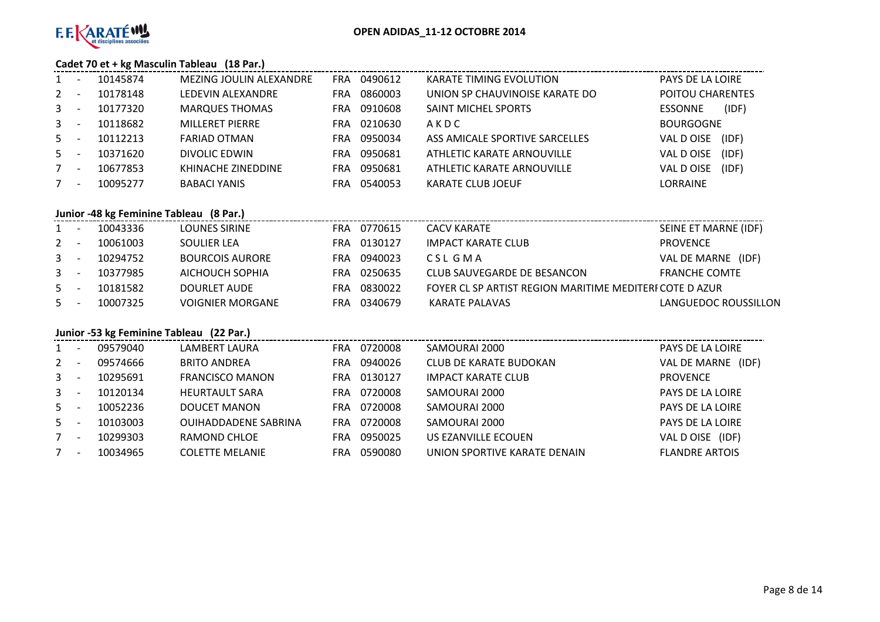

# **Cadet 70 et + kg Masculin Tableau (18 Par.)**

| $1 \quad$                               | 10145874 | MEZING JOULIN ALEXANDRE | 0490612<br>FRA.       | KARATE TIMING EVOLUTION        | PAYS DE LA LOIRE        |
|-----------------------------------------|----------|-------------------------|-----------------------|--------------------------------|-------------------------|
| $2^{\circ}$                             | 10178148 | LEDEVIN ALEXANDRE       | 0860003<br><b>FRA</b> | UNION SP CHAUVINOISE KARATE DO | POITOU CHARENTES        |
| $3^{\circ}$                             | 10177320 | <b>MARQUES THOMAS</b>   | 0910608<br>FRA.       | <b>SAINT MICHEL SPORTS</b>     | (IDF)<br><b>ESSONNE</b> |
| $3^{\circ}$<br>$\overline{\phantom{a}}$ | 10118682 | <b>MILLERET PIERRE</b>  | 0210630<br>FRA        | AKDC                           | <b>BOURGOGNE</b>        |
| $5 -$                                   | 10112213 | <b>FARIAD OTMAN</b>     | 0950034<br>FRA.       | ASS AMICALE SPORTIVE SARCELLES | VAL DOISE<br>(IDF)      |
| $5 -$                                   | 10371620 | DIVOLIC EDWIN           | 0950681<br>FRA        | ATHLETIC KARATE ARNOUVILLE     | VAL D OISE<br>(IDF)     |
| $7^{\circ}$<br>$\overline{\phantom{a}}$ | 10677853 | KHINACHE ZINEDDINE      | 0950681<br>FRA.       | ATHLETIC KARATE ARNOUVILLE     | VAL D OISE<br>(IDF)     |
| 7<br>$\overline{\phantom{a}}$           | 10095277 | <b>BABACI YANIS</b>     | 0540053<br>FRA.       | KARATE CLUB JOEUF              | <b>LORRAINE</b>         |

# **Junior -48 kg Feminine Tableau (8 Par.)**

| $1 -$ | 10043336 | <b>LOUNES SIRINE</b>    | FRA 0770615 | <b>CACV KARATE</b>                                      | SEINE ET MARNE (IDF) |
|-------|----------|-------------------------|-------------|---------------------------------------------------------|----------------------|
| $2 -$ | 10061003 | SOULIER LEA             | FRA 0130127 | IMPACT KARATE CLUB                                      | PROVENCE             |
| $3 -$ | 10294752 | <b>BOURCOIS AURORE</b>  | FRA 0940023 | CSL GMA                                                 | VAL DE MARNE (IDF)   |
| $3 -$ | 10377985 | AICHOUCH SOPHIA         | FRA 0250635 | CLUB SAUVEGARDE DE BESANCON                             | <b>FRANCHE COMTE</b> |
| $5 -$ | 10181582 | DOURLET AUDE            | FRA 0830022 | FOYER CL SP ARTIST REGION MARITIME MEDITERI COTE D AZUR |                      |
| $5 -$ | 10007325 | <b>VOIGNIER MORGANE</b> | FRA 0340679 | KARATE PALAVAS                                          | LANGUEDOC ROUSSILLON |

# **Junior -53 kg Feminine Tableau (22 Par.)**

| $1 -$       |                          | 09579040 | LAMBERT LAURA               | FRA. | 0720008 | SAMOURAI 2000                | PAYS DE LA LOIRE      |
|-------------|--------------------------|----------|-----------------------------|------|---------|------------------------------|-----------------------|
| $2 -$       |                          | 09574666 | <b>BRITO ANDREA</b>         | FRA  | 0940026 | CLUB DE KARATE BUDOKAN       | VAL DE MARNE<br>(IDF) |
| $3 -$       |                          | 10295691 | <b>FRANCISCO MANON</b>      | FRA. | 0130127 | <b>IMPACT KARATE CLUB</b>    | <b>PROVENCE</b>       |
| $3 -$       |                          | 10120134 | <b>HEURTAULT SARA</b>       | FRA. | 0720008 | SAMOURAI 2000                | PAYS DE LA LOIRE      |
| $5 -$       |                          | 10052236 | DOUCET MANON                | FRA. | 0720008 | SAMOURAI 2000                | PAYS DE LA LOIRE      |
| $5 -$       |                          | 10103003 | <b>OUIHADDADENE SABRINA</b> | FRA. | 0720008 | SAMOURAI 2000                | PAYS DE LA LOIRE      |
| $7^{\circ}$ | $\overline{\phantom{a}}$ | 10299303 | RAMOND CHLOE                | FRA. | 0950025 | US EZANVILLE ECOUEN          | VAL D OISE (IDF)      |
| 7           | $\overline{\phantom{a}}$ | 10034965 | <b>COLETTE MELANIE</b>      | FRA  | 0590080 | UNION SPORTIVE KARATE DENAIN | <b>FLANDRE ARTOIS</b> |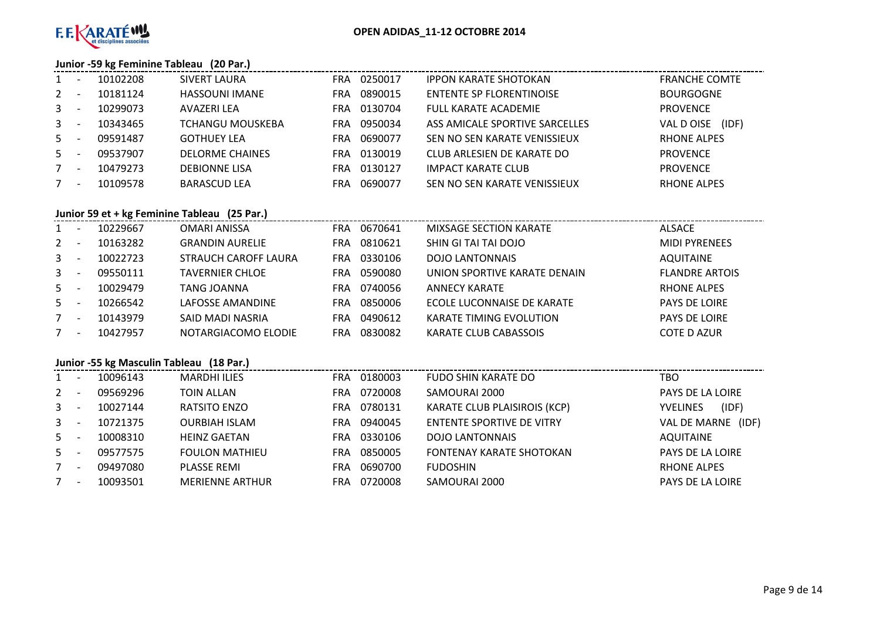

# **Junior -59 kg Feminine Tableau (20 Par.)**

| 1              | $\overline{\phantom{a}}$ | 10102208 | SIVERT LAURA          | FRA  | 0250017 | <b>IPPON KARATE SHOTOKAN</b>    | <b>FRANCHE COMTE</b> |
|----------------|--------------------------|----------|-----------------------|------|---------|---------------------------------|----------------------|
| $2^{\circ}$    |                          | 10181124 | <b>HASSOUNI IMANE</b> | FRA  | 0890015 | <b>ENTENTE SP FLORENTINOISE</b> | <b>BOURGOGNE</b>     |
| $\mathbf{3}$   | $\overline{\phantom{a}}$ | 10299073 | AVAZERI LEA           | FRA. | 0130704 | FULL KARATE ACADEMIE            | <b>PROVENCE</b>      |
| 3 <sup>7</sup> | $\overline{\phantom{a}}$ | 10343465 | TCHANGU MOUSKEBA      | FRA. | 0950034 | ASS AMICALE SPORTIVE SARCELLES  | (IDF)<br>VAL D OISE  |
| $5 -$          |                          | 09591487 | <b>GOTHUEY LEA</b>    | FRA. | 0690077 | SEN NO SEN KARATE VENISSIEUX    | RHONE ALPES          |
| $5 -$          |                          | 09537907 | DELORME CHAINES       | FRA. | 0130019 | CLUB ARLESIEN DE KARATE DO      | <b>PROVENCE</b>      |
| $7^{\circ}$    | $\overline{\phantom{a}}$ | 10479273 | <b>DEBIONNE LISA</b>  | FRA  | 0130127 | <b>IMPACT KARATE CLUB</b>       | <b>PROVENCE</b>      |
| $7^{\circ}$    | $\overline{\phantom{a}}$ | 10109578 | <b>BARASCUD LEA</b>   | FRA  | 0690077 | SEN NO SEN KARATE VENISSIEUX    | <b>RHONE ALPES</b>   |

# **Junior 59 et + kg Feminine Tableau (25 Par.)**

| 1            |                          | 10229667 | OMARI ANISSA           | FRA        | 0670641 | MIXSAGE SECTION KARATE         | <b>ALSACE</b>         |
|--------------|--------------------------|----------|------------------------|------------|---------|--------------------------------|-----------------------|
| $2 -$        |                          | 10163282 | <b>GRANDIN AURELIE</b> | FRA        | 0810621 | SHIN GI TAI TAI DOJO           | <b>MIDI PYRENEES</b>  |
| $\mathbf{3}$ |                          | 10022723 | STRAUCH CAROFF LAURA   | <b>FRA</b> | 0330106 | <b>DOJO LANTONNAIS</b>         | <b>AQUITAINE</b>      |
| $\mathbf{3}$ |                          | 09550111 | <b>TAVERNIER CHLOE</b> | FRA        | 0590080 | UNION SPORTIVE KARATE DENAIN   | <b>FLANDRE ARTOIS</b> |
| $5 -$        |                          | 10029479 | TANG JOANNA            | FRA        | 0740056 | ANNECY KARATE                  | <b>RHONE ALPES</b>    |
| $5 -$        |                          | 10266542 | LAFOSSE AMANDINE       | FRA        | 0850006 | ECOLE LUCONNAISE DE KARATE     | <b>PAYS DE LOIRE</b>  |
| $7^{\circ}$  | $\overline{\phantom{a}}$ | 10143979 | SAID MADI NASRIA       | FRA        | 0490612 | <b>KARATE TIMING EVOLUTION</b> | <b>PAYS DE LOIRE</b>  |
|              | $\overline{\phantom{a}}$ | 10427957 | NOTARGIACOMO ELODIE    | FRA        | 0830082 | KARATE CLUB CABASSOIS          | <b>COTE D AZUR</b>    |

# **Junior -55 kg Masculin Tableau (18 Par.)**

|              |                          | 1401     |                        |            |         |                                  |                          |
|--------------|--------------------------|----------|------------------------|------------|---------|----------------------------------|--------------------------|
| $\mathbf{1}$ |                          | 10096143 | <b>MARDHI ILIES</b>    | <b>FRA</b> | 0180003 | FUDO SHIN KARATE DO              | TBO                      |
| $\mathbf{2}$ |                          | 09569296 | TOIN ALLAN             | <b>FRA</b> | 0720008 | SAMOURAI 2000                    | PAYS DE LA LOIRE         |
| $\mathbf{3}$ |                          | 10027144 | RATSITO ENZO           | <b>FRA</b> | 0780131 | KARATE CLUB PLAISIROIS (KCP)     | (IDF)<br><b>YVELINES</b> |
| $3^{\circ}$  |                          | 10721375 | <b>OURBIAH ISLAM</b>   | <b>FRA</b> | 0940045 | <b>ENTENTE SPORTIVE DE VITRY</b> | VAL DE MARNE<br>(IDF)    |
| $5 -$        |                          | 10008310 | <b>HEINZ GAETAN</b>    | <b>FRA</b> | 0330106 | <b>DOJO LANTONNAIS</b>           | <b>AQUITAINE</b>         |
| $5 -$        |                          | 09577575 | <b>FOULON MATHIEU</b>  | <b>FRA</b> | 0850005 | <b>FONTENAY KARATE SHOTOKAN</b>  | PAYS DE LA LOIRE         |
| 7            | $\overline{\phantom{a}}$ | 09497080 | <b>PLASSE REMI</b>     | <b>FRA</b> | 0690700 | <b>FUDOSHIN</b>                  | <b>RHONE ALPES</b>       |
|              | $\overline{\phantom{a}}$ | 10093501 | <b>MERIENNE ARTHUR</b> | <b>FRA</b> | 0720008 | SAMOURAI 2000                    | PAYS DE LA LOIRE         |
|              |                          |          |                        |            |         |                                  |                          |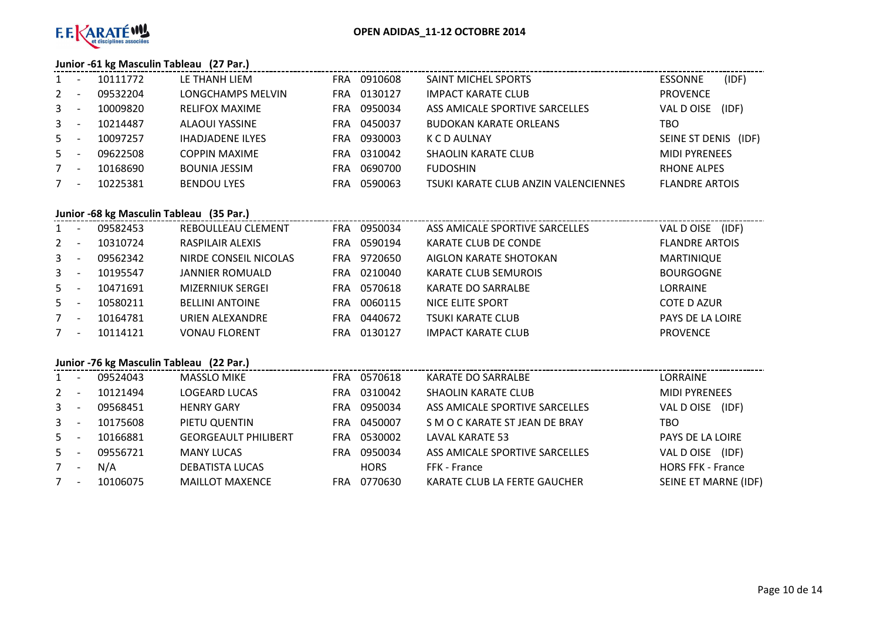

# **Junior -61 kg Masculin Tableau (27 Par.)**

| 1              | $\overline{\phantom{a}}$ | 10111772 | LE THANH LIEM           | FRA | 0910608 | <b>SAINT MICHEL SPORTS</b>           | (IDF)<br><b>ESSONNE</b> |
|----------------|--------------------------|----------|-------------------------|-----|---------|--------------------------------------|-------------------------|
| $2 -$          |                          | 09532204 | LONGCHAMPS MELVIN       | FRA | 0130127 | <b>IMPACT KARATE CLUB</b>            | <b>PROVENCE</b>         |
| 3 <sup>7</sup> | $\overline{\phantom{a}}$ | 10009820 | <b>RELIFOX MAXIME</b>   | FRA | 0950034 | ASS AMICALE SPORTIVE SARCELLES       | VAL D OISE<br>(IDF)     |
| $3 - 5$        |                          | 10214487 | ALAOUI YASSINE          | FRA | 0450037 | <b>BUDOKAN KARATE ORLEANS</b>        | TBO                     |
| $5 -$          |                          | 10097257 | <b>IHADJADENE ILYES</b> | FRA | 0930003 | K C D AULNAY                         | SEINE ST DENIS (IDF)    |
| $5 -$          |                          | 09622508 | <b>COPPIN MAXIME</b>    | FRA | 0310042 | SHAOLIN KARATE CLUB                  | <b>MIDI PYRENEES</b>    |
| $7^{\circ}$    | $\overline{\phantom{a}}$ | 10168690 | <b>BOUNIA JESSIM</b>    | FRA | 0690700 | <b>FUDOSHIN</b>                      | <b>RHONE ALPES</b>      |
| 7              | $\overline{\phantom{a}}$ | 10225381 | <b>BENDOU LYES</b>      | FRA | 0590063 | TSUKI KARATE CLUB ANZIN VALENCIENNES | <b>FLANDRE ARTOIS</b>   |

# **Junior -68 kg Masculin Tableau (35 Par.)**

| $1 \quad$   |                          | 09582453 | REBOULLEAU CLEMENT     | FRA  | 0950034 | ASS AMICALE SPORTIVE SARCELLES | (IDF)<br>VAL DOISE      |
|-------------|--------------------------|----------|------------------------|------|---------|--------------------------------|-------------------------|
| $2^{\circ}$ |                          | 10310724 | RASPILAIR ALEXIS       | FRA  | 0590194 | KARATE CLUB DE CONDE           | <b>FLANDRE ARTOIS</b>   |
| $3^{\circ}$ |                          | 09562342 | NIRDE CONSEIL NICOLAS  | FRA. | 9720650 | AIGLON KARATE SHOTOKAN         | <b>MARTINIQUE</b>       |
| $3^{\circ}$ |                          | 10195547 | <b>JANNIER ROMUALD</b> | FRA  | 0210040 | <b>KARATE CLUB SEMUROIS</b>    | <b>BOURGOGNE</b>        |
| $5 -$       |                          | 10471691 | MIZERNIUK SERGEI       | FRA  | 0570618 | KARATE DO SARRALBE             | <b>LORRAINE</b>         |
| $5 -$       |                          | 10580211 | <b>BELLINI ANTOINE</b> | FRA  | 0060115 | NICE ELITE SPORT               | <b>COTE D AZUR</b>      |
| 7           | $\overline{\phantom{a}}$ | 10164781 | URIEN ALEXANDRE        | FRA  | 0440672 | <b>TSUKI KARATE CLUB</b>       | <b>PAYS DE LA LOIRE</b> |
| 7           |                          | 10114121 | <b>VONAU FLORENT</b>   | FRA  | 0130127 | <b>IMPACT KARATE CLUB</b>      | <b>PROVENCE</b>         |

# **Junior -76 kg Masculin Tableau (22 Par.)**

| $1 -$ | 09524043 | <b>MASSLO MIKE</b>          | FRA        | 0570618     | KARATE DO SARRALBE             | LORRAINE                 |
|-------|----------|-----------------------------|------------|-------------|--------------------------------|--------------------------|
| $2 -$ | 10121494 | <b>LOGEARD LUCAS</b>        | <b>FRA</b> | 0310042     | <b>SHAOLIN KARATE CLUB</b>     | <b>MIDI PYRENEES</b>     |
| $3 -$ | 09568451 | <b>HENRY GARY</b>           | FRA.       | 0950034     | ASS AMICALE SPORTIVE SARCELLES | (IDF)<br>VAL D OISE      |
| $3 -$ | 10175608 | PIETU QUENTIN               | FRA.       | 0450007     | S M O C KARATE ST JEAN DE BRAY | TBO                      |
| $5 -$ | 10166881 | <b>GEORGEAULT PHILIBERT</b> | <b>FRA</b> | 0530002     | LAVAL KARATE 53                | <b>PAYS DE LA LOIRE</b>  |
| $5 -$ | 09556721 | <b>MANY LUCAS</b>           | FRA        | 0950034     | ASS AMICALE SPORTIVE SARCELLES | (IDF)<br>VAL DOISE       |
| 7     | N/A      | <b>DEBATISTA LUCAS</b>      |            | <b>HORS</b> | FFK - France                   | <b>HORS FFK - France</b> |
| $7 -$ | 10106075 | <b>MAILLOT MAXENCE</b>      | FRA        | 0770630     | KARATE CLUB LA FERTE GAUCHER   | SEINE ET MARNE (IDF)     |
|       |          |                             |            |             |                                |                          |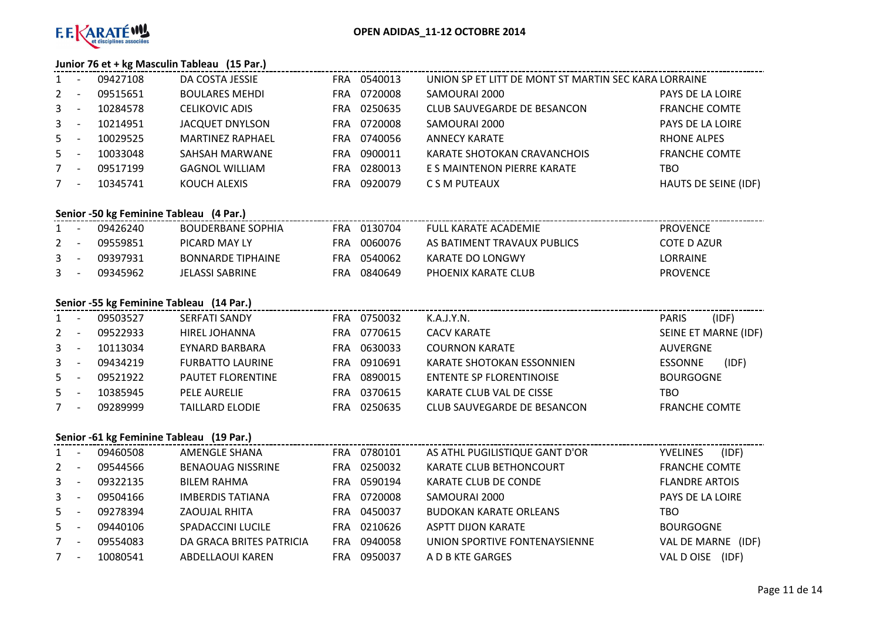

# **Junior 76 et + kg Masculin Tableau (15 Par.)**

| 1           | 09427108 | DA COSTA JESSIE         | FRA | 0540013 | UNION SP ET LITT DE MONT ST MARTIN SEC KARA LORRAINE |                      |
|-------------|----------|-------------------------|-----|---------|------------------------------------------------------|----------------------|
| $2^{\circ}$ | 09515651 | <b>BOULARES MEHDI</b>   | FRA | 0720008 | SAMOURAI 2000                                        | PAYS DE LA LOIRE     |
| $3^{\circ}$ | 10284578 | <b>CELIKOVIC ADIS</b>   | FRA | 0250635 | CLUB SAUVEGARDE DE BESANCON                          | <b>FRANCHE COMTE</b> |
| $3^{\circ}$ | 10214951 | JACQUET DNYLSON         | FRA | 0720008 | SAMOURAI 2000                                        | PAYS DE LA LOIRE     |
| $5 -$       | 10029525 | <b>MARTINEZ RAPHAEL</b> | FRA | 0740056 | ANNECY KARATE                                        | RHONE ALPES          |
| $5 -$       | 10033048 | SAHSAH MARWANE          | FRA | 0900011 | KARATE SHOTOKAN CRAVANCHOIS                          | <b>FRANCHE COMTE</b> |
| 7           | 09517199 | <b>GAGNOL WILLIAM</b>   | FRA | 0280013 | E S MAINTENON PIERRE KARATE                          | TBO                  |
| 7           | 10345741 | KOUCH ALEXIS            | FRA | 0920079 | C S M PUTEAUX                                        | HAUTS DE SEINE (IDF) |

# **Senior -50 kg Feminine Tableau (4 Par.)**

| $1 -$   | 09426240 | BOUDERBANE SOPHIA        |     | FRA 0130704 | FULL KARATF ACADFMIF        | <b>PROVENCE</b> |
|---------|----------|--------------------------|-----|-------------|-----------------------------|-----------------|
| $2 -$   | 09559851 | PICARD MAY LY            | FRA | 0060076     | AS BATIMENT TRAVAUX PUBLICS | COTE D AZUR     |
| $3 -$   | 09397931 | <b>BONNARDE TIPHAINE</b> |     | FRA 0540062 | KARATE DO LONGWY            | LORRAINE        |
| $3 - 1$ | 09345962 | JELASSI SABRINE          | FRA | 0840649     | PHOFNIX KARATE CLUB         | <b>PROVENCE</b> |

# **Senior -55 kg Feminine Tableau (14 Par.)**

|                | 09503527 | <b>SERFATI SANDY</b>     | FRA | 0750032 | K.A.J.Y.N.                  | <b>PARIS</b>         | (IDF) |
|----------------|----------|--------------------------|-----|---------|-----------------------------|----------------------|-------|
| $2^{\circ}$    | 09522933 | HIREL JOHANNA            | FRA | 0770615 | <b>CACV KARATE</b>          | SEINE ET MARNE (IDF) |       |
| $3^{\circ}$    | 10113034 | EYNARD BARBARA           | FRA | 0630033 | <b>COURNON KARATE</b>       | AUVERGNE             |       |
| $\mathbf{3}$   | 09434219 | <b>FURBATTO LAURINE</b>  | FRA | 0910691 | KARATE SHOTOKAN ESSONNIEN   | <b>ESSONNE</b>       | (IDF) |
| $5 -$          | 09521922 | <b>PAUTET FLORENTINE</b> | FRA | 0890015 | ENTENTE SP FLORENTINOISE    | <b>BOURGOGNE</b>     |       |
| 5 <sup>1</sup> | 10385945 | <b>PELE AURELIE</b>      | FRA | 0370615 | KARATE CLUB VAL DE CISSE    | TBO                  |       |
|                | 09289999 | <b>TAILLARD ELODIE</b>   | FRA | 0250635 | CLUB SAUVEGARDE DE BESANCON | <b>FRANCHE COMTE</b> |       |

# **Senior -61 kg Feminine Tableau (19 Par.)**

| 1              |                          | 09460508 | AMENGLE SHANA            |      | FRA 0780101 | AS ATHL PUGILISTIQUE GANT D'OR | (IDF)<br><b>YVELINES</b> |
|----------------|--------------------------|----------|--------------------------|------|-------------|--------------------------------|--------------------------|
| $2^{\circ}$    |                          | 09544566 | <b>BENAOUAG NISSRINE</b> | FRA  | 0250032     | <b>KARATE CLUB BETHONCOURT</b> | <b>FRANCHE COMTE</b>     |
| 3 <sup>1</sup> |                          | 09322135 | <b>BILEM RAHMA</b>       | FRA. | 0590194     | KARATE CLUB DE CONDE           | <b>FLANDRE ARTOIS</b>    |
| $3^{\circ}$    | $\overline{\phantom{a}}$ | 09504166 | <b>IMBERDIS TATIANA</b>  | FRA  | 0720008     | SAMOURAI 2000                  | PAYS DE LA LOIRE         |
| $5 -$          |                          | 09278394 | ZAOUJAL RHITA            | FRA. | 0450037     | <b>BUDOKAN KARATE ORLEANS</b>  | TBO                      |
| $5 -$          |                          | 09440106 | <b>SPADACCINI LUCILE</b> | FRA  | 0210626     | <b>ASPTT DIJON KARATE</b>      | <b>BOURGOGNE</b>         |
| $7^{\circ}$    | $\overline{\phantom{a}}$ | 09554083 | DA GRACA BRITES PATRICIA | FRA  | 0940058     | UNION SPORTIVE FONTENAYSIENNE  | VAL DE MARNE<br>(IDF)    |
| 7              |                          | 10080541 | ABDELLAOUI KAREN         | FRA  | 0950037     | A D B KTE GARGES               | VAL D OISE<br>(IDF)      |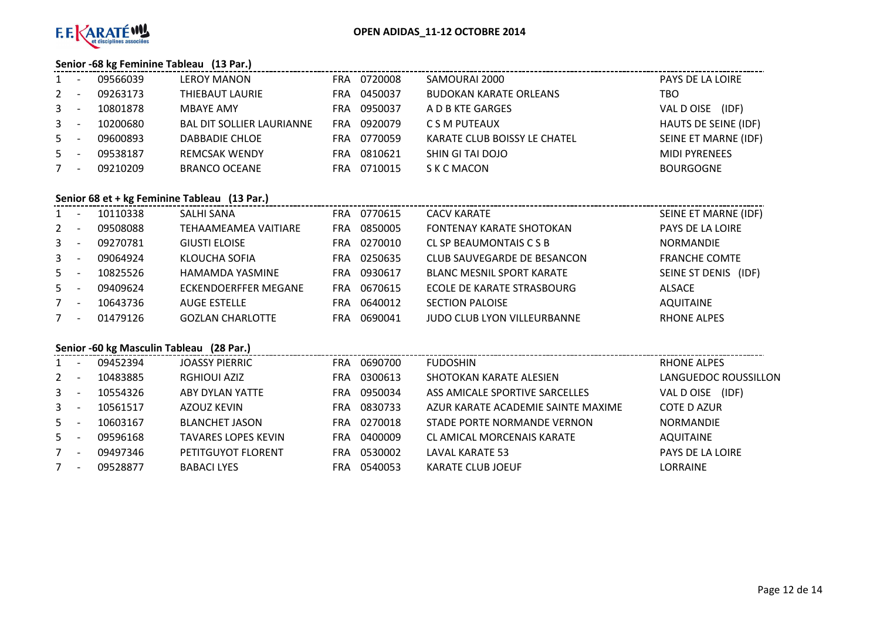

# **Senior -68 kg Feminine Tableau (13 Par.)**

| $\mathbf{1}$ | $\overline{\phantom{a}}$ | 09566039 | <b>LEROY MANON</b>               | FRA        | 0720008 | SAMOURAI 2000                 | PAYS DE LA LOIRE     |
|--------------|--------------------------|----------|----------------------------------|------------|---------|-------------------------------|----------------------|
| $2 -$        |                          | 09263173 | THIEBAUT LAURIE                  | FRA        | 0450037 | <b>BUDOKAN KARATE ORLEANS</b> | TBO                  |
| $3 - 5$      |                          | 10801878 | <b>MBAYE AMY</b>                 | FRA        | 0950037 | A D B KTE GARGES              | (IDF)<br>VAL DOISE   |
| $3^{\circ}$  | $\overline{\phantom{a}}$ | 10200680 | <b>BAL DIT SOLLIER LAURIANNE</b> | <b>FRA</b> | 0920079 | C S M PUTEAUX                 | HAUTS DE SEINE (IDF) |
| $5 -$        |                          | 09600893 | DABBADIE CHLOE                   | FRA        | 0770059 | KARATE CLUB BOISSY LE CHATEL  | SEINE ET MARNE (IDF) |
| $5 -$        |                          | 09538187 | <b>REMCSAK WENDY</b>             | FRA        | 0810621 | SHIN GI TAI DOJO              | <b>MIDI PYRENEES</b> |
|              | $\overline{\phantom{a}}$ | 09210209 | <b>BRANCO OCEANE</b>             | FRA        | 0710015 | S K C MACON                   | <b>BOURGOGNE</b>     |
|              |                          |          |                                  |            |         |                               |                      |

# **Senior 68 et + kg Feminine Tableau (13 Par.)**

| $1 \quad$ | $\overline{\phantom{a}}$ | 10110338 | SALHI SANA                  | <b>FRA</b> | 0770615 | <b>CACV KARATE</b>                 | SEINE ET MARNE (IDF) |
|-----------|--------------------------|----------|-----------------------------|------------|---------|------------------------------------|----------------------|
| $2 -$     |                          | 09508088 | <b>TEHAAMEAMEA VAITIARE</b> | FRA        | 0850005 | <b>FONTENAY KARATE SHOTOKAN</b>    | PAYS DE LA LOIRE     |
| $3 - -$   |                          | 09270781 | <b>GIUSTI ELOISE</b>        | FRA        | 0270010 | CL SP BEAUMONTAIS C S B            | <b>NORMANDIE</b>     |
| $3 - -$   |                          | 09064924 | KLOUCHA SOFIA               | FRA        | 0250635 | CLUB SAUVEGARDE DE BESANCON        | <b>FRANCHE COMTE</b> |
| $5 -$     |                          | 10825526 | HAMAMDA YASMINE             | <b>FRA</b> | 0930617 | <b>BLANC MESNIL SPORT KARATE</b>   | SEINE ST DENIS (IDF) |
| $5 -$     |                          | 09409624 | ECKENDOERFFER MEGANE        | <b>FRA</b> | 0670615 | ECOLE DE KARATE STRASBOURG         | ALSACE               |
| $7 -$     |                          | 10643736 | <b>AUGE ESTELLE</b>         | <b>FRA</b> | 0640012 | <b>SECTION PALOISE</b>             | <b>AQUITAINE</b>     |
| 7         | $\overline{\phantom{a}}$ | 01479126 | <b>GOZLAN CHARLOTTE</b>     | FRA        | 0690041 | <b>JUDO CLUB LYON VILLEURBANNE</b> | <b>RHONE ALPES</b>   |

# **Senior -60 kg Masculin Tableau (28 Par.)**

|              |                          | 09452394 | JOASSY PIERRIC             | FRA | 0690700 | <b>FUDOSHIN</b>                    | RHONE ALPES          |
|--------------|--------------------------|----------|----------------------------|-----|---------|------------------------------------|----------------------|
| 2            |                          | 10483885 | <b>RGHIOUI AZIZ</b>        | FRA | 0300613 | SHOTOKAN KARATE ALESIEN            | LANGUEDOC ROUSSILLON |
| $3^{\circ}$  |                          | 10554326 | ABY DYLAN YATTE            | FRA | 0950034 | ASS AMICALE SPORTIVE SARCELLES     | (IDF)<br>VAL DOISE   |
| $\mathbf{3}$ |                          | 10561517 | AZOUZ KEVIN                | FRA | 0830733 | AZUR KARATE ACADEMIE SAINTE MAXIME | COTE D AZUR          |
| $5 -$        |                          | 10603167 | <b>BLANCHET JASON</b>      | FRA | 0270018 | STADE PORTE NORMANDE VERNON        | <b>NORMANDIE</b>     |
| $5 -$        |                          | 09596168 | <b>TAVARES LOPES KEVIN</b> | FRA | 0400009 | CL AMICAL MORCENAIS KARATE         | <b>AQUITAINE</b>     |
| $7^{\circ}$  |                          | 09497346 | PETITGUYOT FLORENT         | FRA | 0530002 | LAVAL KARATE 53                    | PAYS DE LA LOIRE     |
|              | $\overline{\phantom{a}}$ | 09528877 | <b>BABACI LYES</b>         | FRA | 0540053 | KARATE CLUB JOEUF                  | <b>LORRAINE</b>      |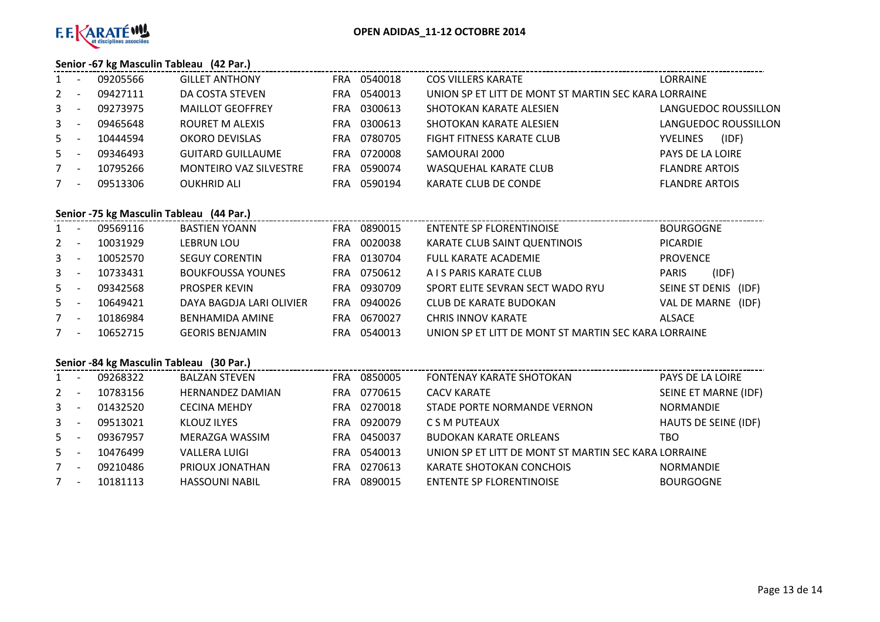

# **Senior -67 kg Masculin Tableau (42 Par.)**

| $1 -$   | 09205566 | <b>GILLET ANTHONY</b>         | FRA  | 0540018 | COS VILLERS KARATE                                   | LORRAINE                 |
|---------|----------|-------------------------------|------|---------|------------------------------------------------------|--------------------------|
| $2 -$   | 09427111 | DA COSTA STEVEN               | FRA  | 0540013 | UNION SP ET LITT DE MONT ST MARTIN SEC KARA LORRAINE |                          |
| $3 - 5$ | 09273975 | <b>MAILLOT GEOFFREY</b>       | FRA. | 0300613 | SHOTOKAN KARATE ALESIEN                              | LANGUEDOC ROUSSILLON     |
| $3 -$   | 09465648 | ROURET M ALEXIS               | FRA. | 0300613 | SHOTOKAN KARATE ALESIEN                              | LANGUEDOC ROUSSILLON     |
| $5 -$   | 10444594 | OKORO DEVISLAS                | FRA  | 0780705 | <b>FIGHT FITNESS KARATE CLUB</b>                     | (IDF)<br><b>YVELINES</b> |
| $5 -$   | 09346493 | <b>GUITARD GUILLAUME</b>      | FRA  | 0720008 | SAMOURAI 2000                                        | PAYS DE LA LOIRE         |
| $7 -$   | 10795266 | <b>MONTEIRO VAZ SILVESTRE</b> | FRA. | 0590074 | <b>WASQUEHAL KARATE CLUB</b>                         | <b>FLANDRE ARTOIS</b>    |
| $7 -$   | 09513306 | <b>OUKHRID ALI</b>            | FRA  | 0590194 | KARATE CLUB DE CONDE                                 | <b>FLANDRE ARTOIS</b>    |
|         |          |                               |      |         |                                                      |                          |

# **Senior -75 kg Masculin Tableau (44 Par.)**

| 1              |                          | 09569116 | <b>BASTIEN YOANN</b>     | <b>FRA</b> | 0890015 | ENTENTE SP FLORENTINOISE                             | <b>BOURGOGNE</b>        |
|----------------|--------------------------|----------|--------------------------|------------|---------|------------------------------------------------------|-------------------------|
| $2^{\circ}$    |                          | 10031929 | <b>LEBRUN LOU</b>        | FRA        | 0020038 | KARATE CLUB SAINT QUENTINOIS                         | <b>PICARDIE</b>         |
| 3 <sup>7</sup> |                          | 10052570 | <b>SEGUY CORENTIN</b>    | FRA        | 0130704 | <b>FULL KARATE ACADEMIE</b>                          | <b>PROVENCE</b>         |
| $\mathbf{3}$   |                          | 10733431 | <b>BOUKFOUSSA YOUNES</b> | FRA        | 0750612 | A I S PARIS KARATE CLUB                              | (IDF)<br><b>PARIS</b>   |
| $5 -$          |                          | 09342568 | <b>PROSPER KEVIN</b>     | FRA        | 0930709 | SPORT ELITE SEVRAN SECT WADO RYU                     | SEINE ST DENIS<br>(IDF) |
| $5 -$          |                          | 10649421 | DAYA BAGDJA LARI OLIVIER | FRA        | 0940026 | CLUB DE KARATE BUDOKAN                               | (IDF)<br>VAL DE MARNE   |
| 7              | $\overline{\phantom{a}}$ | 10186984 | BENHAMIDA AMINE          | FRA        | 0670027 | <b>CHRIS INNOV KARATE</b>                            | ALSACE                  |
| 7              |                          | 10652715 | <b>GEORIS BENJAMIN</b>   | FRA        | 0540013 | UNION SP ET LITT DE MONT ST MARTIN SEC KARA LORRAINE |                         |

# **Senior -84 kg Masculin Tableau (30 Par.)**

|              | ٠                        | 09268322 | <b>BALZAN STEVEN</b>    | FRA. | 0850005 | <b>FONTENAY KARATE SHOTOKAN</b>                      | <b>PAYS DE LA LOIRE</b> |
|--------------|--------------------------|----------|-------------------------|------|---------|------------------------------------------------------|-------------------------|
| $\mathbf{2}$ |                          | 10783156 | <b>HERNANDEZ DAMIAN</b> | FRA  | 0770615 | <b>CACV KARATE</b>                                   | SEINE ET MARNE (IDF)    |
| 3            | $\overline{\phantom{0}}$ | 01432520 | <b>CECINA MEHDY</b>     | FRA. | 0270018 | STADE PORTE NORMANDE VERNON                          | <b>NORMANDIE</b>        |
| $\mathbf{3}$ | $\overline{\phantom{a}}$ | 09513021 | KLOUZ ILYES             | FRA  | 0920079 | C S M PUTEAUX                                        | HAUTS DE SEINE (IDF)    |
| $5 -$        |                          | 09367957 | MERAZGA WASSIM          | FRA  | 0450037 | <b>BUDOKAN KARATE ORLEANS</b>                        | TBO                     |
| $5 -$        | $\overline{\phantom{a}}$ | 10476499 | <b>VALLERA LUIGI</b>    | FRA  | 0540013 | UNION SP ET LITT DE MONT ST MARTIN SEC KARA LORRAINE |                         |
|              | $\overline{\phantom{a}}$ | 09210486 | PRIOUX JONATHAN         | FRA  | 0270613 | KARATE SHOTOKAN CONCHOIS                             | <b>NORMANDIE</b>        |
|              | $\overline{\phantom{a}}$ | 10181113 | <b>HASSOUNI NABIL</b>   | FRA  | 0890015 | ENTENTE SP FLORENTINOISE                             | <b>BOURGOGNE</b>        |